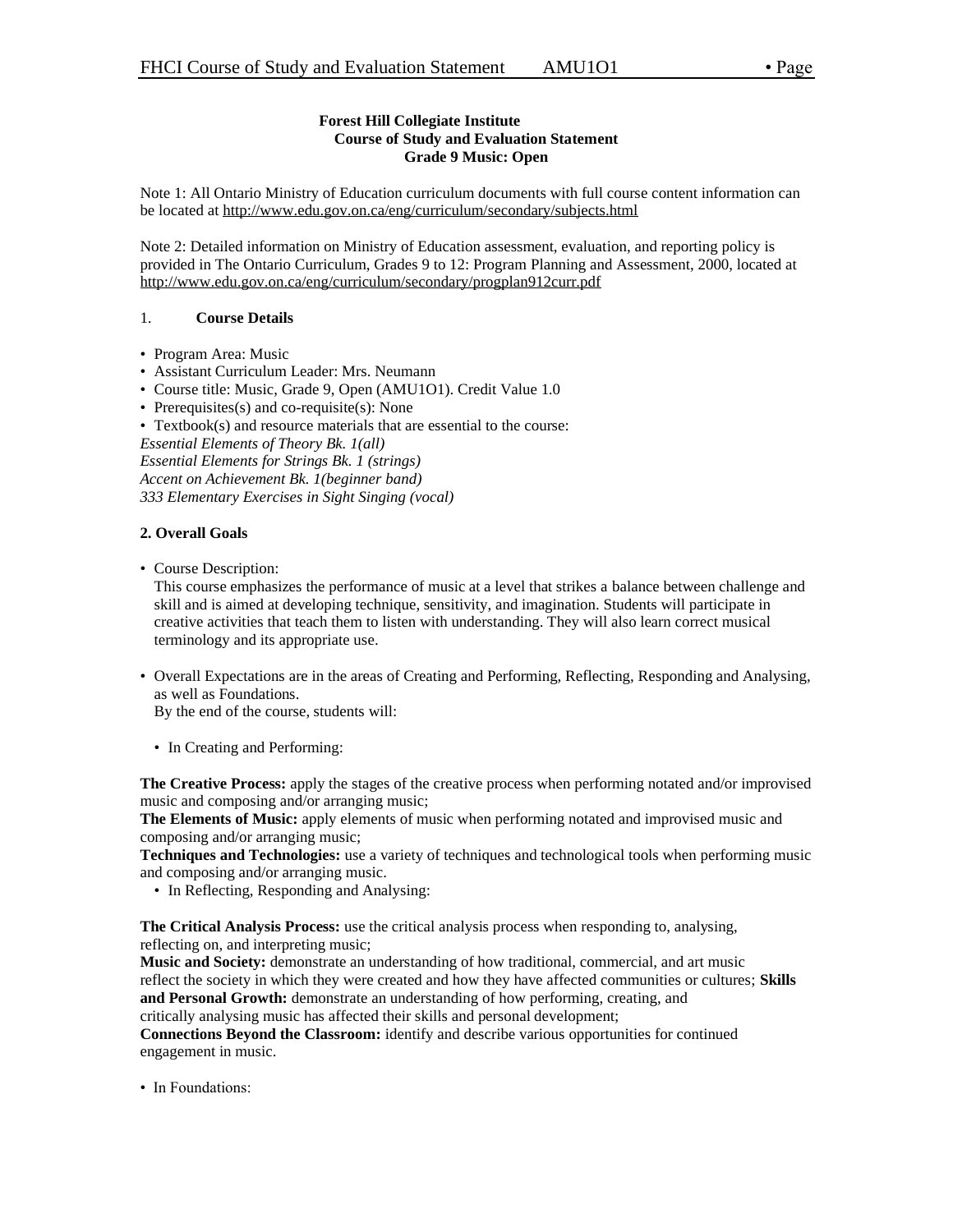# **Forest Hill Collegiate Institute Course of Study and Evaluation Statement Grade 9 Music: Open**

Note 1: All Ontario Ministry of Education curriculum documents with full course content information can be located at http://www.edu.gov.on.ca/eng/curriculum/secondary/subjects.html

Note 2: Detailed information on Ministry of Education assessment, evaluation, and reporting policy is provided in The Ontario Curriculum, Grades 9 to 12: Program Planning and Assessment, 2000, located at http://www.edu.gov.on.ca/eng/curriculum/secondary/progplan912curr.pdf

# 1. **Course Details**

- Program Area: Music
- Assistant Curriculum Leader: Mrs. Neumann
- Course title: Music, Grade 9, Open (AMU1O1). Credit Value 1.0
- Prerequisites(s) and co-requisite(s): None
- Textbook(s) and resource materials that are essential to the course:

*Essential Elements of Theory Bk. 1(all) Essential Elements for Strings Bk. 1 (strings) Accent on Achievement Bk. 1(beginner band) 333 Elementary Exercises in Sight Singing (vocal)*

### **2. Overall Goals**

• Course Description:

This course emphasizes the performance of music at a level that strikes a balance between challenge and skill and is aimed at developing technique, sensitivity, and imagination. Students will participate in creative activities that teach them to listen with understanding. They will also learn correct musical terminology and its appropriate use.

• Overall Expectations are in the areas of Creating and Performing, Reflecting, Responding and Analysing, as well as Foundations.

By the end of the course, students will:

• In Creating and Performing:

**The Creative Process:** apply the stages of the creative process when performing notated and/or improvised music and composing and/or arranging music;

**The Elements of Music:** apply elements of music when performing notated and improvised music and composing and/or arranging music;

**Techniques and Technologies:** use a variety of techniques and technological tools when performing music and composing and/or arranging music.

• In Reflecting, Responding and Analysing:

**The Critical Analysis Process:** use the critical analysis process when responding to, analysing, reflecting on, and interpreting music;

**Music and Society:** demonstrate an understanding of how traditional, commercial, and art music reflect the society in which they were created and how they have affected communities or cultures; **Skills and Personal Growth:** demonstrate an understanding of how performing, creating, and critically analysing music has affected their skills and personal development;

**Connections Beyond the Classroom:** identify and describe various opportunities for continued engagement in music.

• In Foundations: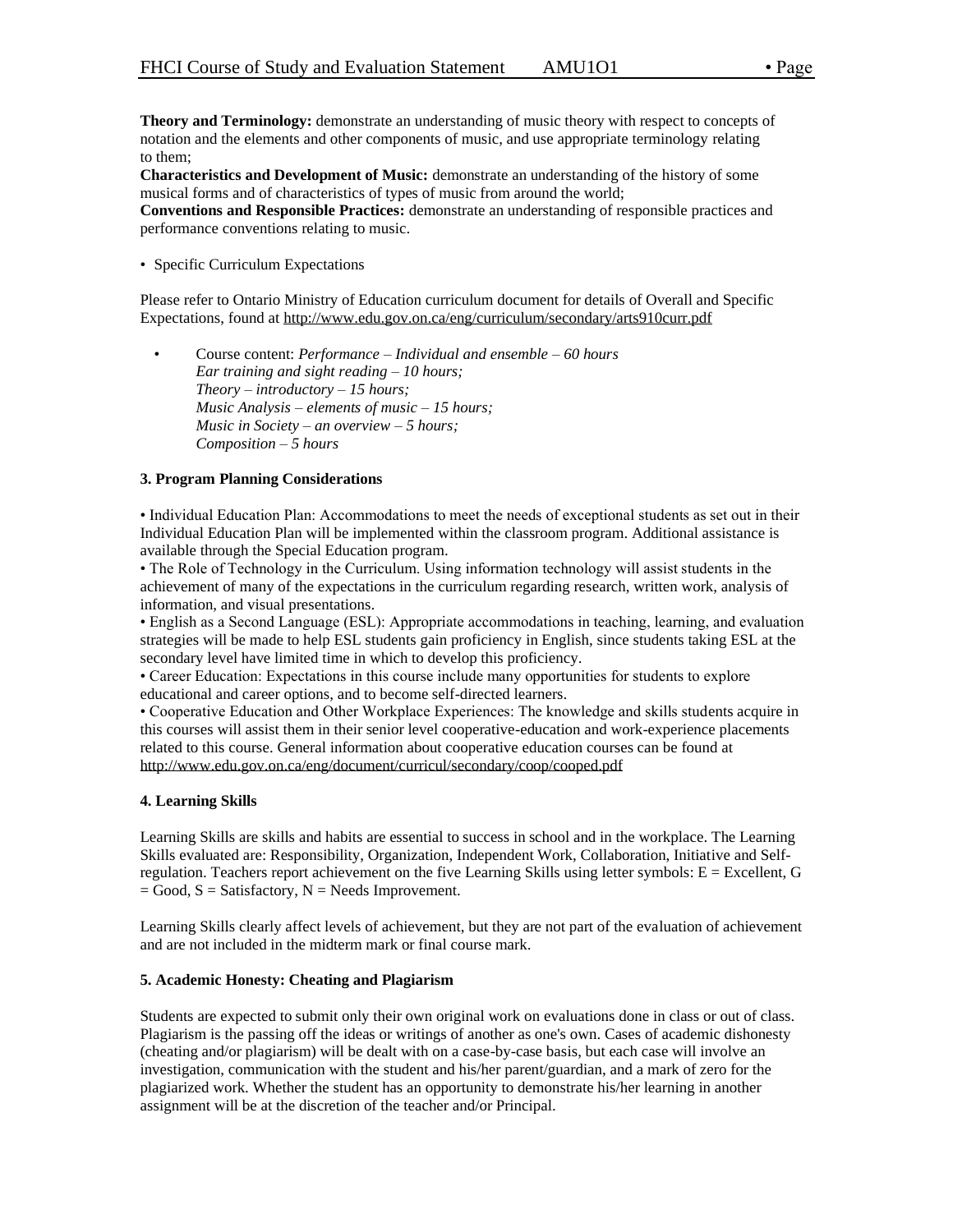**Theory and Terminology:** demonstrate an understanding of music theory with respect to concepts of notation and the elements and other components of music, and use appropriate terminology relating to them;

**Characteristics and Development of Music:** demonstrate an understanding of the history of some musical forms and of characteristics of types of music from around the world;

**Conventions and Responsible Practices:** demonstrate an understanding of responsible practices and performance conventions relating to music.

• Specific Curriculum Expectations

Please refer to Ontario Ministry of Education curriculum document for details of Overall and Specific Expectations, found at http://www.edu.gov.on.ca/eng/curriculum/secondary/arts910curr.pdf

• Course content: *Performance – Individual and ensemble – 60 hours Ear training and sight reading – 10 hours; Theory – introductory – 15 hours; Music Analysis – elements of music – 15 hours; Music in Society – an overview – 5 hours; Composition – 5 hours*

### **3. Program Planning Considerations**

• Individual Education Plan: Accommodations to meet the needs of exceptional students as set out in their Individual Education Plan will be implemented within the classroom program. Additional assistance is available through the Special Education program.

• The Role of Technology in the Curriculum. Using information technology will assist students in the achievement of many of the expectations in the curriculum regarding research, written work, analysis of information, and visual presentations.

• English as a Second Language (ESL): Appropriate accommodations in teaching, learning, and evaluation strategies will be made to help ESL students gain proficiency in English, since students taking ESL at the secondary level have limited time in which to develop this proficiency.

• Career Education: Expectations in this course include many opportunities for students to explore educational and career options, and to become self-directed learners.

• Cooperative Education and Other Workplace Experiences: The knowledge and skills students acquire in this courses will assist them in their senior level cooperative-education and work-experience placements related to this course. General information about cooperative education courses can be found at http://www.edu.gov.on.ca/eng/document/curricul/secondary/coop/cooped.pdf

### **4. Learning Skills**

Learning Skills are skills and habits are essential to success in school and in the workplace. The Learning Skills evaluated are: Responsibility, Organization, Independent Work, Collaboration, Initiative and Selfregulation. Teachers report achievement on the five Learning Skills using letter symbols: E = Excellent, G  $=$  Good,  $S =$  Satisfactory,  $N =$  Needs Improvement.

Learning Skills clearly affect levels of achievement, but they are not part of the evaluation of achievement and are not included in the midterm mark or final course mark.

#### **5. Academic Honesty: Cheating and Plagiarism**

Students are expected to submit only their own original work on evaluations done in class or out of class. Plagiarism is the passing off the ideas or writings of another as one's own. Cases of academic dishonesty (cheating and/or plagiarism) will be dealt with on a case-by-case basis, but each case will involve an investigation, communication with the student and his/her parent/guardian, and a mark of zero for the plagiarized work. Whether the student has an opportunity to demonstrate his/her learning in another assignment will be at the discretion of the teacher and/or Principal.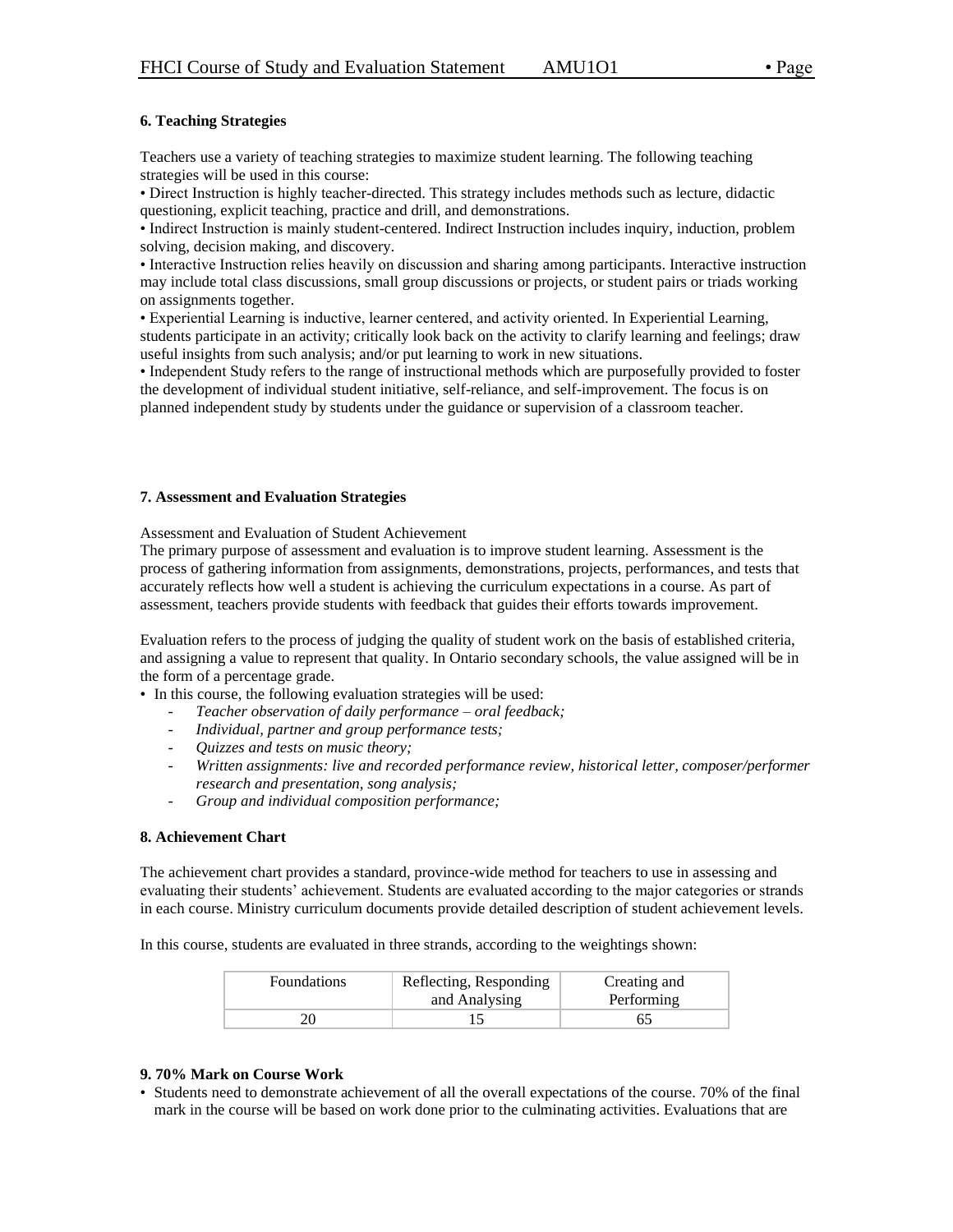### **6. Teaching Strategies**

Teachers use a variety of teaching strategies to maximize student learning. The following teaching strategies will be used in this course:

• Direct Instruction is highly teacher-directed. This strategy includes methods such as lecture, didactic questioning, explicit teaching, practice and drill, and demonstrations.

• Indirect Instruction is mainly student-centered. Indirect Instruction includes inquiry, induction, problem solving, decision making, and discovery.

• Interactive Instruction relies heavily on discussion and sharing among participants. Interactive instruction may include total class discussions, small group discussions or projects, or student pairs or triads working on assignments together.

• Experiential Learning is inductive, learner centered, and activity oriented. In Experiential Learning, students participate in an activity; critically look back on the activity to clarify learning and feelings; draw useful insights from such analysis; and/or put learning to work in new situations.

• Independent Study refers to the range of instructional methods which are purposefully provided to foster the development of individual student initiative, self-reliance, and self-improvement. The focus is on planned independent study by students under the guidance or supervision of a classroom teacher.

#### **7. Assessment and Evaluation Strategies**

Assessment and Evaluation of Student Achievement

The primary purpose of assessment and evaluation is to improve student learning. Assessment is the process of gathering information from assignments, demonstrations, projects, performances, and tests that accurately reflects how well a student is achieving the curriculum expectations in a course. As part of assessment, teachers provide students with feedback that guides their efforts towards improvement.

Evaluation refers to the process of judging the quality of student work on the basis of established criteria, and assigning a value to represent that quality. In Ontario secondary schools, the value assigned will be in the form of a percentage grade.

• In this course, the following evaluation strategies will be used:

- *Teacher observation of daily performance – oral feedback;*
- *Individual, partner and group performance tests;*
- *Quizzes and tests on music theory;*
- *Written assignments: live and recorded performance review, historical letter, composer/performer research and presentation, song analysis;*
- *Group and individual composition performance;*

#### **8. Achievement Chart**

The achievement chart provides a standard, province-wide method for teachers to use in assessing and evaluating their students' achievement. Students are evaluated according to the major categories or strands in each course. Ministry curriculum documents provide detailed description of student achievement levels.

In this course, students are evaluated in three strands, according to the weightings shown:

| <b>Foundations</b> | Reflecting, Responding<br>and Analysing | Creating and<br>Performing |
|--------------------|-----------------------------------------|----------------------------|
|                    |                                         |                            |

#### **9. 70% Mark on Course Work**

• Students need to demonstrate achievement of all the overall expectations of the course. 70% of the final mark in the course will be based on work done prior to the culminating activities. Evaluations that are